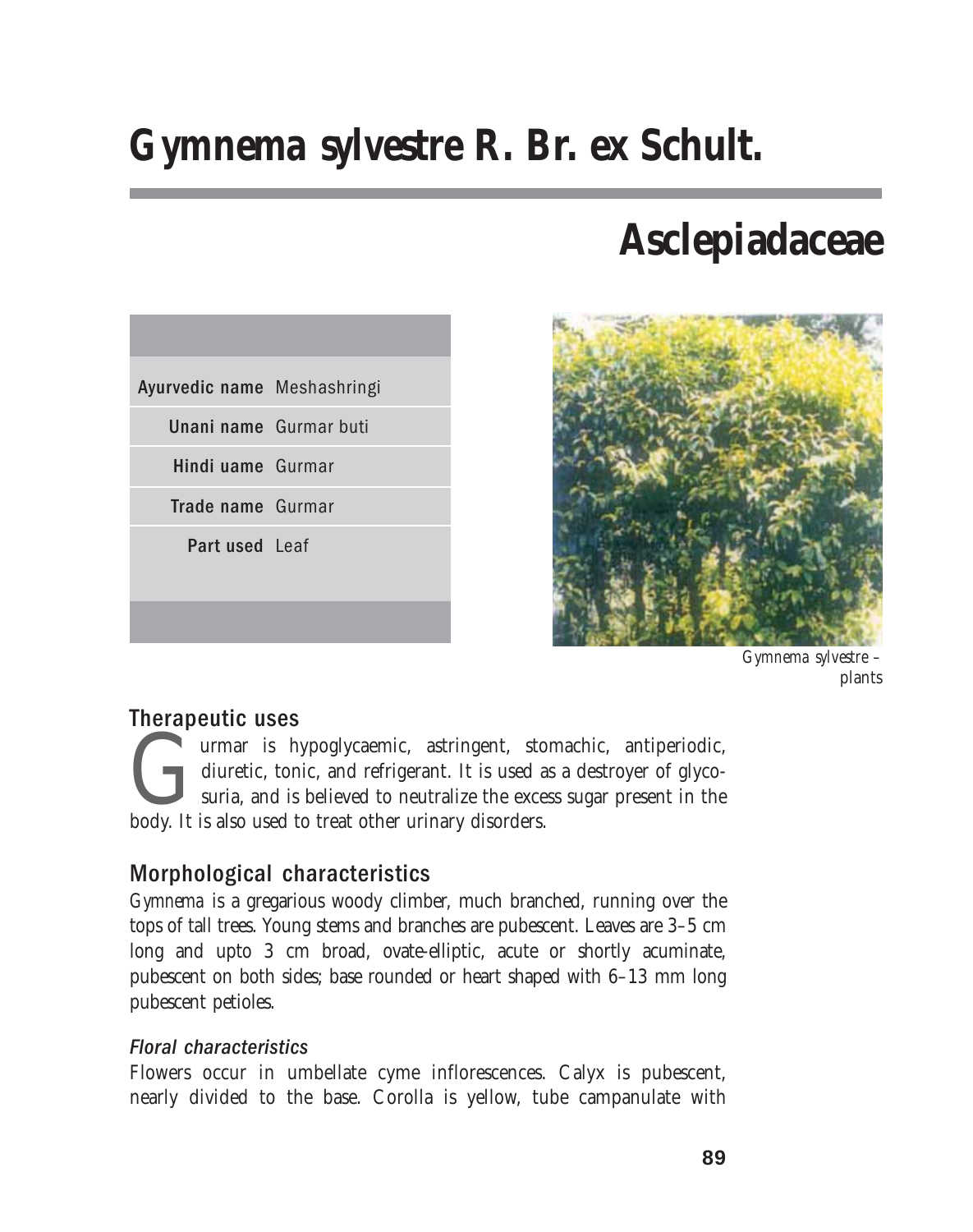# *Gymnema sylvestre* **R. Br. ex Schult.**

# **Asclepiadaceae**





*Gymnema sylvestre –* plants

## Therapeutic uses

urmar is hypoglycaemic, astringent, stomachic, antiperiodic, diuretic, tonic, and refrigerant. It is used as a destroyer of glycosuria, and is believed to neutralize the excess sugar present in the body. It is also used to treat other urinary disorders.

## Morphological characteristics

*Gymnema* is a gregarious woody climber, much branched, running over the tops of tall trees. Young stems and branches are pubescent. Leaves are 3–5 cm long and upto 3 cm broad, ovate-elliptic, acute or shortly acuminate, pubescent on both sides; base rounded or heart shaped with 6–13 mm long pubescent petioles.

### Floral characteristics

Flowers occur in umbellate cyme inflorescences. Calyx is pubescent, nearly divided to the base. Corolla is yellow, tube campanulate with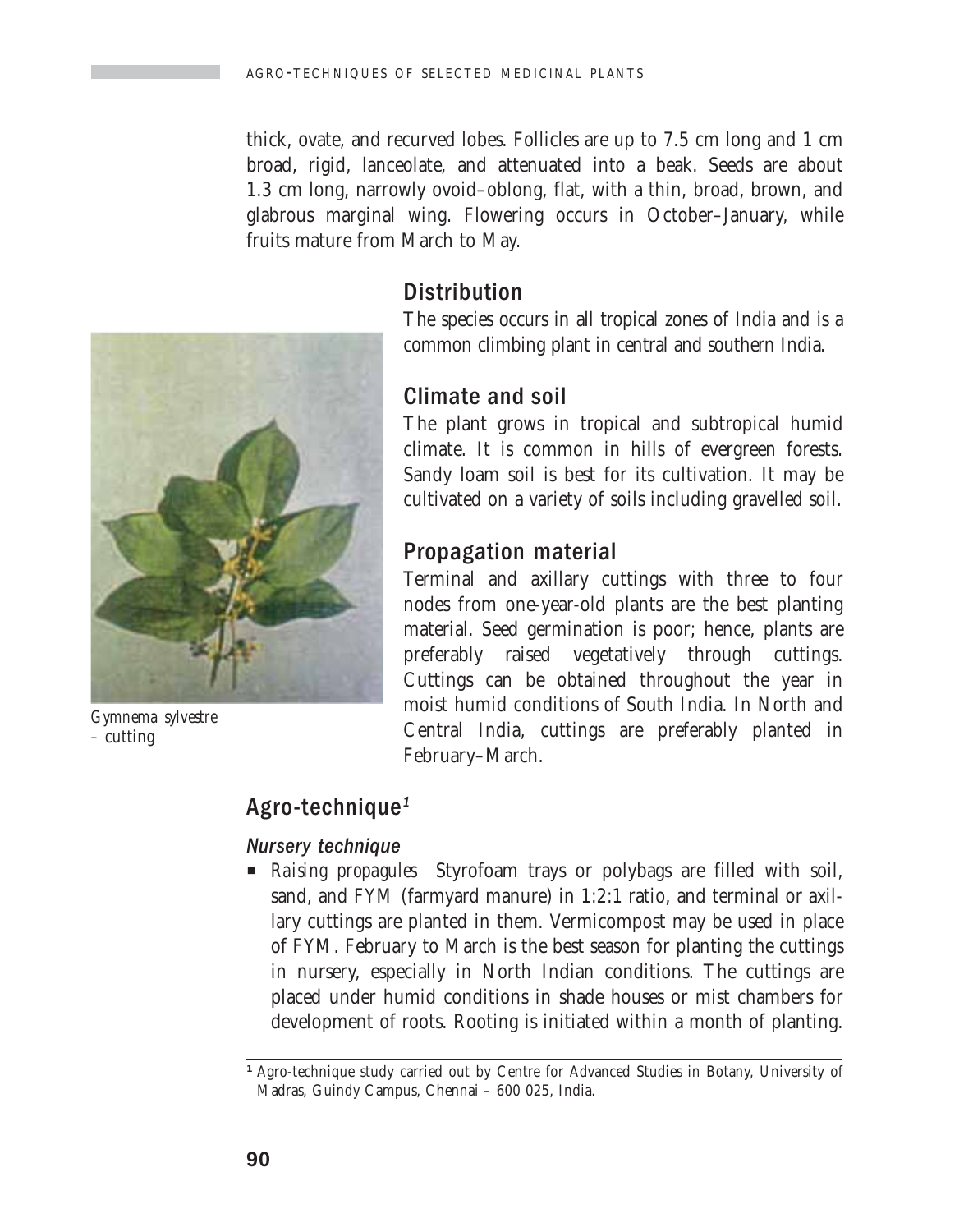thick, ovate, and recurved lobes. Follicles are up to 7.5 cm long and 1 cm broad, rigid, lanceolate, and attenuated into a beak. Seeds are about 1.3 cm long, narrowly ovoid–oblong, flat, with a thin, broad, brown, and glabrous marginal wing. Flowering occurs in October–January, while fruits mature from March to May.



*Gymnema sylvestre –* cutting

## **Distribution**

The species occurs in all tropical zones of India and is a common climbing plant in central and southern India.

### Climate and soil

The plant grows in tropical and subtropical humid climate. It is common in hills of evergreen forests. Sandy loam soil is best for its cultivation. It may be cultivated on a variety of soils including gravelled soil.

## Propagation material

Terminal and axillary cuttings with three to four nodes from one-year-old plants are the best planting material. Seed germination is poor; hence, plants are preferably raised vegetatively through cuttings. Cuttings can be obtained throughout the year in moist humid conditions of South India. In North and Central India, cuttings are preferably planted in February–March.

## Agro-technique<sup>1</sup>

#### Nursery technique

P *Raising propagules*Styrofoam trays or polybags are filled with soil, sand, and FYM (farmyard manure) in 1:2:1 ratio, and terminal or axillary cuttings are planted in them. Vermicompost may be used in place of FYM. February to March is the best season for planting the cuttings in nursery, especially in North Indian conditions. The cuttings are placed under humid conditions in shade houses or mist chambers for development of roots. Rooting is initiated within a month of planting.

*1* Agro-technique study carried out by Centre for Advanced Studies in Botany, University of Madras, Guindy Campus, Chennai – 600 025, India.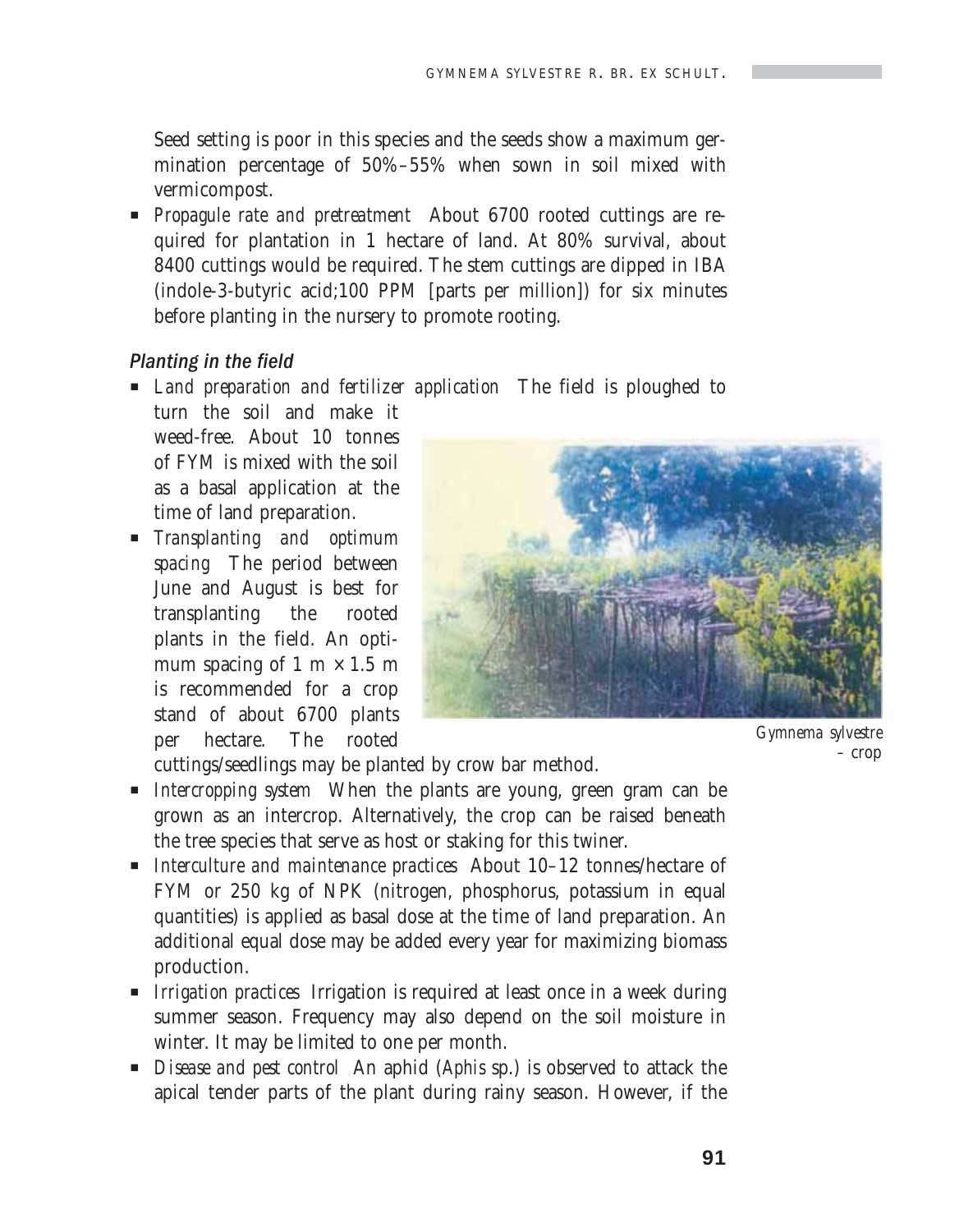Seed setting is poor in this species and the seeds show a maximum germination percentage of 50%–55% when sown in soil mixed with vermicompost.

**Propagule rate and pretreatment** About 6700 rooted cuttings are required for plantation in 1 hectare of land. At 80% survival, about 8400 cuttings would be required. The stem cuttings are dipped in IBA (indole-3-butyric acid;100 PPM [parts per million]) for six minutes before planting in the nursery to promote rooting.

#### Planting in the field

P *Land preparation and fertilizer application* The field is ploughed to turn the soil and make it

weed-free. About 10 tonnes of FYM is mixed with the soil as a basal application at the time of land preparation.

P *Transplanting and optimum spacing* The period between June and August is best for transplanting the rooted plants in the field. An optimum spacing of 1 m  $\times$  1.5 m is recommended for a crop stand of about 6700 plants per hectare. The rooted



*Gymnema sylvestre –* crop

cuttings/seedlings may be planted by crow bar method.

- P *Intercropping system* When the plants are young, green gram can be grown as an intercrop. Alternatively, the crop can be raised beneath the tree species that serve as host or staking for this twiner.
- **P** *Interculture and maintenance practices* About 10–12 tonnes/hectare of FYM or 250 kg of NPK (nitrogen, phosphorus, potassium in equal quantities) is applied as basal dose at the time of land preparation. An additional equal dose may be added every year for maximizing biomass production.
- **P** *Irrigation practices* Irrigation is required at least once in a week during summer season. Frequency may also depend on the soil moisture in winter. It may be limited to one per month.
- **P** *Disease and pest control* An aphid (*Aphis* sp.) is observed to attack the apical tender parts of the plant during rainy season. However, if the